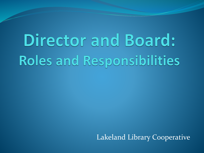# Director and Board: Roles and Responsibilities

Lakeland Library Cooperative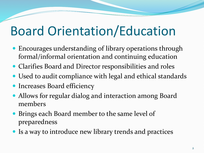# Board Orientation/Education

- Encourages understanding of library operations through formal/informal orientation and continuing education
- Clarifies Board and Director responsibilities and roles
- Used to audit compliance with legal and ethical standards
- Increases Board efficiency
- Allows for regular dialog and interaction among Board members
- Brings each Board member to the same level of preparedness
- Is a way to introduce new library trends and practices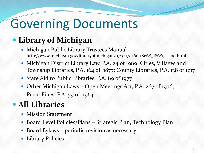### Governing Documents

#### **Library of Michigan**

- Michigan Public Library Trustees Manual http://www.michigan.gov/libraryofmichigan/0,2351,7-160-18668\_18689---,00.html
- Michigan District Library Law, P.A. 24 of 1989; Cities, Villages and Township Libraries, P.A. 164 of 1877; County Libraries, P.A. 138 of 1917
- State Aid to Public Libraries, P.A. 89 of 1977
- Other Michigan Laws Open Meetings Act, P.A. 267 of 1976; Penal Fines, P.A. 59 of 1964

#### **All Libraries**

- Mission Statement
- Board Level Policies/Plans Strategic Plan, Technology Plan
- Board Bylaws periodic revision as necessary
- Library Policies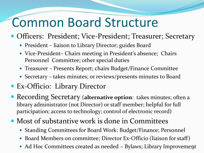#### Common Board Structure

#### • Officers: President; Vice-President; Treasurer; Secretary

- President liaison to Library Director; guides Board
- Vice-President– Chairs meeting in President's absence; Chairs Personnel Committee; other special duties
- Treasurer Presents Report; chairs Budget/Finance Committee
- Secretary takes minutes; or reviews/presents minutes to Board

#### Ex-Officio: Library Director

- Recording Secretary (**alternative option**: takes minutes; often a library administrator (not Director) or staff member; helpful for full participation; access to technology; control of electronic record)
- Most of substantive work is done in Committees
	- Standing Committees for Board Work: Budget/Finance; Personnel
	- Board Members on committee; Director Ex-Officio (liaison for staff)
	- Ad Hoc Committees created as needed Bylaws; Library Improvement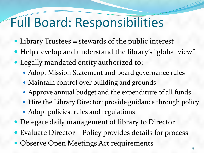## Full Board: Responsibilities

- Library Trustees = stewards of the public interest
- Help develop and understand the library's "global view"
- Legally mandated entity authorized to:
	- Adopt Mission Statement and board governance rules
	- Maintain control over building and grounds
	- Approve annual budget and the expenditure of all funds
	- Hire the Library Director; provide guidance through policy
	- Adopt policies, rules and regulations
- Delegate daily management of library to Director
- Evaluate Director Policy provides details for process
- Observe Open Meetings Act requirements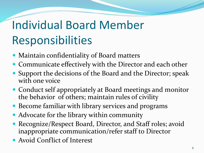# Individual Board Member Responsibilities

- Maintain confidentiality of Board matters
- Communicate effectively with the Director and each other
- Support the decisions of the Board and the Director; speak with one voice
- Conduct self appropriately at Board meetings and monitor the behavior of others; maintain rules of civility
- Become familiar with library services and programs
- Advocate for the library within community
- Recognize/Respect Board, Director, and Staff roles; avoid inappropriate communication/refer staff to Director
- Avoid Conflict of Interest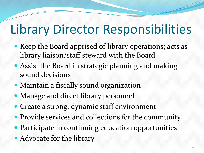#### Library Director Responsibilities

- Keep the Board apprised of library operations; acts as library liaison/staff steward with the Board
- Assist the Board in strategic planning and making sound decisions
- Maintain a fiscally sound organization
- Manage and direct library personnel
- Create a strong, dynamic staff environment
- Provide services and collections for the community
- Participate in continuing education opportunities
- Advocate for the library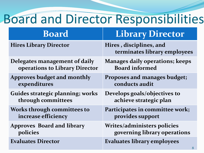#### Board and Director Responsibilities

| <b>Board</b>                            | <b>Library Director</b>                                 |
|-----------------------------------------|---------------------------------------------------------|
| <b>Hires Library Director</b>           | Hires, disciplines, and<br>terminates library employees |
| Delegates management of daily           | <b>Manages daily operations; keeps</b>                  |
| operations to Library Director          | <b>Board informed</b>                                   |
| <b>Approves budget and monthly</b>      | Proposes and manages budget;                            |
| expenditures                            | conducts audit                                          |
| <b>Guides strategic planning; works</b> | Develops goals/objectives to                            |
| through committees                      | achieve strategic plan                                  |
| <b>Works through committees to</b>      | Participates in committee work;                         |
| increase efficiency                     | provides support                                        |
| <b>Approves Board and library</b>       | <b>Writes/administers policies</b>                      |
| policies                                | governing library operations                            |
| <b>Evaluates Director</b>               | <b>Evaluates library employees</b>                      |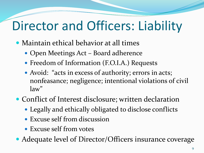# Director and Officers: Liability

- Maintain ethical behavior at all times
	- Open Meetings Act Board adherence
	- Freedom of Information (F.O.I.A.) Requests
	- Avoid: "acts in excess of authority; errors in acts; nonfeasance; negligence; intentional violations of civil law"
- Conflict of Interest disclosure; written declaration
	- Legally and ethically obligated to disclose conflicts
	- Excuse self from discussion
	- Excuse self from votes
- Adequate level of Director/Officers insurance coverage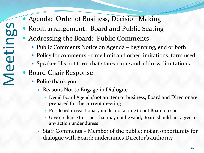#### Agenda: Order of Business, Decision Making

- Room arrangement: Board and Public Seating
- Addressing the Board: Public Comments
	- Public Comments Notice on Agenda beginning, end or both
	- Policy for comments time limit and other limitations; form used
	- Speaker fills out form that states name and address; limitations
- Board Chair Response
	- Polite thank you
		- Reasons Not to Engage in Dialogue
			- Derail Board Agenda/not an item of business; Board and Director are prepared for the current meeting
			- Put Board in reactionary mode; not a time to put Board on spot
			- Give credence to issues that may not be valid; Board should not agree to any action under duress
		- Staff Comments Member of the public; not an opportunity for dialogue with Board; undermines Director's authority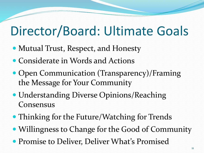### Director/Board: Ultimate Goals

- Mutual Trust, Respect, and Honesty
- Considerate in Words and Actions
- Open Communication (Transparency)/Framing the Message for Your Community
- Understanding Diverse Opinions/Reaching Consensus
- Thinking for the Future/Watching for Trends
- Willingness to Change for the Good of Community
- **Promise to Deliver, Deliver What's Promised**